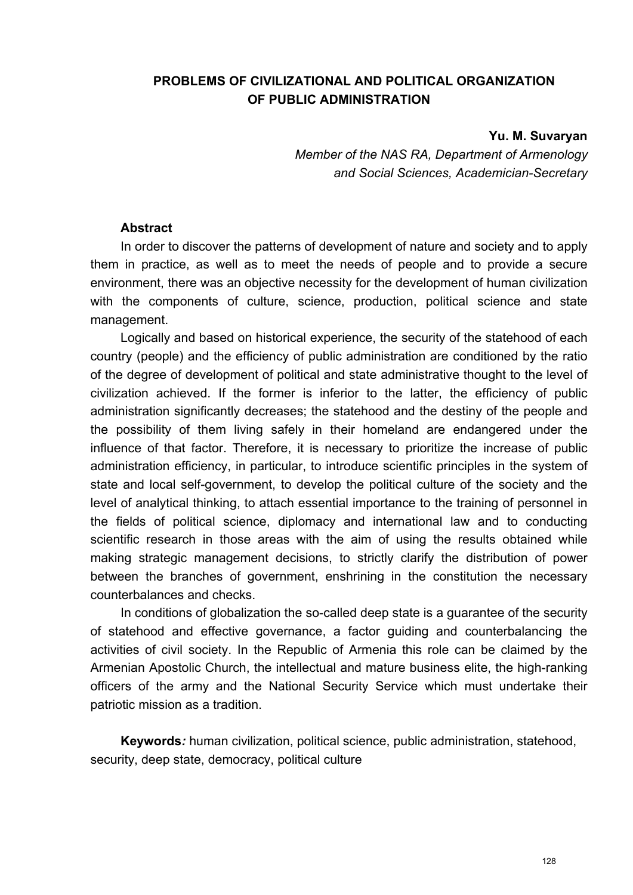## **PROBLEMS OF CIVILIZATIONAL AND POLITICAL ORGANIZATION OF PUBLIC ADMINISTRATION**

**Yu. M. Suvaryan** 

*Member of the NAS RA, Department of Armenology and Social Sciences, Academician-Secretary* 

## **Abstract**

In order to discover the patterns of development of nature and society and to apply them in practice, as well as to meet the needs of people and to provide a secure environment, there was an objective necessity for the development of human civilization with the components of culture, science, production, political science and state management.

Logically and based on historical experience, the security of the statehood of each country (people) and the efficiency of public administration are conditioned by the ratio of the degree of development of political and state administrative thought to the level of civilization achieved. If the former is inferior to the latter, the efficiency of public administration significantly decreases; the statehood and the destiny of the people and the possibility of them living safely in their homeland are endangered under the influence of that factor. Therefore, it is necessary to prioritize the increase of public administration efficiency, in particular, to introduce scientific principles in the system of state and local self-government, to develop the political culture of the society and the level of analytical thinking, to attach essential importance to the training of personnel in the fields of political science, diplomacy and international law and to conducting scientific research in those areas with the aim of using the results obtained while making strategic management decisions, to strictly clarify the distribution of power between the branches of government, enshrining in the constitution the necessary counterbalances and checks.

In conditions of globalization the so-called deep state is a guarantee of the security of statehood and effective governance, a factor guiding and counterbalancing the activities of civil society. In the Republic of Armenia this role can be claimed by the Armenian Apostolic Church, the intellectual and mature business elite, the high-ranking officers of the army and the National Security Service which must undertake their patriotic mission as a tradition.

**Keywords***:* human civilization, political science, public administration, statehood, security, deep state, democracy, political culture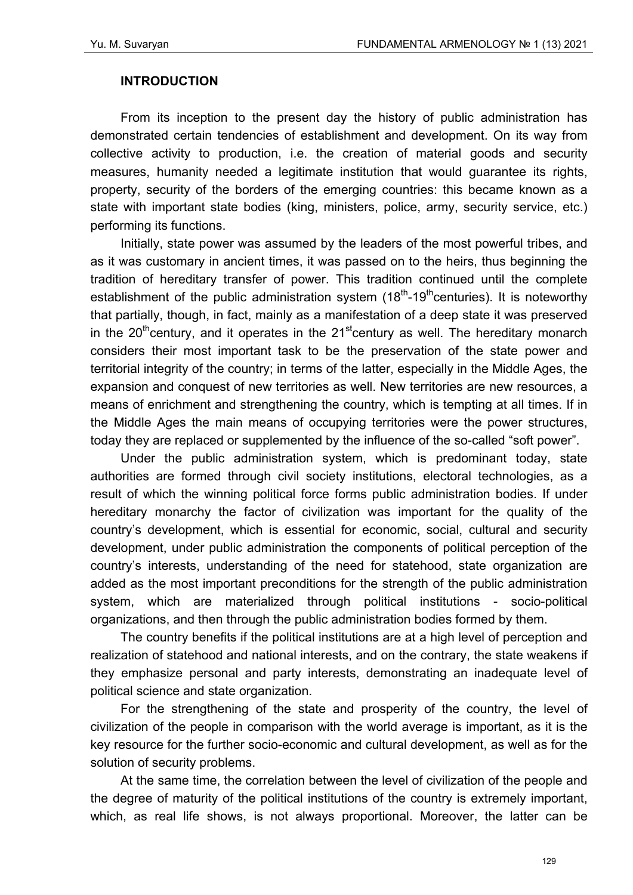## **INTRODUCTION**

From its inception to the present day the history of public administration has demonstrated certain tendencies of establishment and development. On its way from collective activity to production, i.e. the creation of material goods and security measures, humanity needed a legitimate institution that would guarantee its rights, property, security of the borders of the emerging countries: this became known as a state with important state bodies (king, ministers, police, army, security service, etc.) performing its functions.

Initially, state power was assumed by the leaders of the most powerful tribes, and as it was customary in ancient times, it was passed on to the heirs, thus beginning the tradition of hereditary transfer of power. This tradition continued until the complete establishment of the public administration system  $(18<sup>th</sup> - 19<sup>th</sup>$ centuries). It is noteworthy that partially, though, in fact, mainly as a manifestation of a deep state it was preserved in the 20<sup>th</sup>century, and it operates in the 21<sup>st</sup>century as well. The hereditary monarch considers their most important task to be the preservation of the state power and territorial integrity of the country; in terms of the latter, especially in the Middle Ages, the expansion and conquest of new territories as well. New territories are new resources, a means of enrichment and strengthening the country, which is tempting at all times. If in the Middle Ages the main means of occupying territories were the power structures, today they are replaced or supplemented by the influence of the so-called "soft power".

Under the public administration system, which is predominant today, state authorities are formed through civil society institutions, electoral technologies, as a result of which the winning political force forms public administration bodies. If under hereditary monarchy the factor of civilization was important for the quality of the country's development, which is essential for economic, social, cultural and security development, under public administration the components of political perception of the country's interests, understanding of the need for statehood, state organization are added as the most important preconditions for the strength of the public administration system, which are materialized through political institutions - socio-political organizations, and then through the public administration bodies formed by them.

The country benefits if the political institutions are at a high level of perception and realization of statehood and national interests, and on the contrary, the state weakens if they emphasize personal and party interests, demonstrating an inadequate level of political science and state organization.

For the strengthening of the state and prosperity of the country, the level of civilization of the people in comparison with the world average is important, as it is the key resource for the further socio-economic and cultural development, as well as for the solution of security problems.

At the same time, the correlation between the level of civilization of the people and the degree of maturity of the political institutions of the country is extremely important, which, as real life shows, is not always proportional. Moreover, the latter can be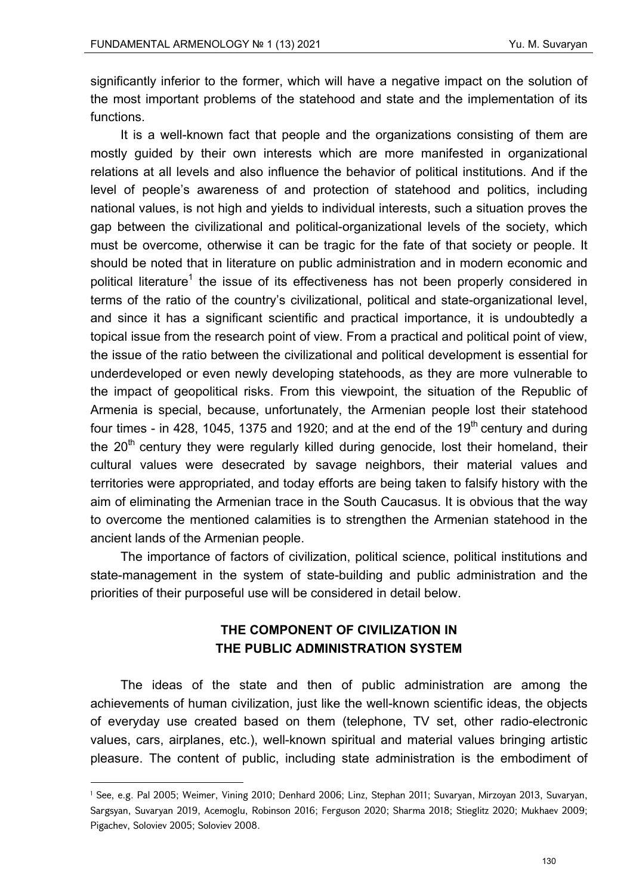significantly inferior to the former, which will have a negative impact on the solution of the most important problems of the statehood and state and the implementation of its functions.

It is a well-known fact that people and the organizations consisting of them are mostly guided by their own interests which are more manifested in organizational relations at all levels and also influence the behavior of political institutions. And if the level of people's awareness of and protection of statehood and politics, including national values, is not high and yields to individual interests, such a situation proves the gap between the civilizational and political-organizational levels of the society, which must be overcome, otherwise it can be tragic for the fate of that society or people. It should be noted that in literature on public administration and in modern economic and political literature<sup>1</sup> the issue of its effectiveness has not been properly considered in terms of the ratio of the country's civilizational, political and state-organizational level, and since it has a significant scientific and practical importance, it is undoubtedly a topical issue from the research point of view. From a practical and political point of view, the issue of the ratio between the civilizational and political development is essential for underdeveloped or even newly developing statehoods, as they are more vulnerable to the impact of geopolitical risks. From this viewpoint, the situation of the Republic of Armenia is special, because, unfortunately, the Armenian people lost their statehood four times - in 428, 1045, 1375 and 1920; and at the end of the 19<sup>th</sup> century and during the  $20<sup>th</sup>$  century they were regularly killed during genocide, lost their homeland, their cultural values were desecrated by savage neighbors, their material values and territories were appropriated, and today efforts are being taken to falsify history with the aim of eliminating the Armenian trace in the South Caucasus. It is obvious that the way to overcome the mentioned calamities is to strengthen the Armenian statehood in the ancient lands of the Armenian people.

The importance of factors of civilization, political science, political institutions and state-management in the system of state-building and public administration and the priorities of their purposeful use will be considered in detail below.

## **THE COMPONENT OF CIVILIZATION IN THE PUBLIC ADMINISTRATION SYSTEM**

The ideas of the state and then of public administration are among the achievements of human civilization, just like the well-known scientific ideas, the objects of everyday use created based on them (telephone, TV set, other radio-electronic values, cars, airplanes, etc.), well-known spiritual and material values bringing artistic pleasure. The content of public, including state administration is the embodiment of

<sup>1</sup> See, e.g. Pal 2005; Weimer, Vining 2010; Denhard 2006; Linz, Stephan 2011; Suvaryan, Mirzoyan 2013, Suvaryan, Sargsyan, Suvaryan 2019, Acemoglu, Robinson 2016; Ferguson 2020; Sharma 2018; Stieglitz 2020; Mukhaev 2009; Pigachev, Soloviev 2005; Soloviev 2008.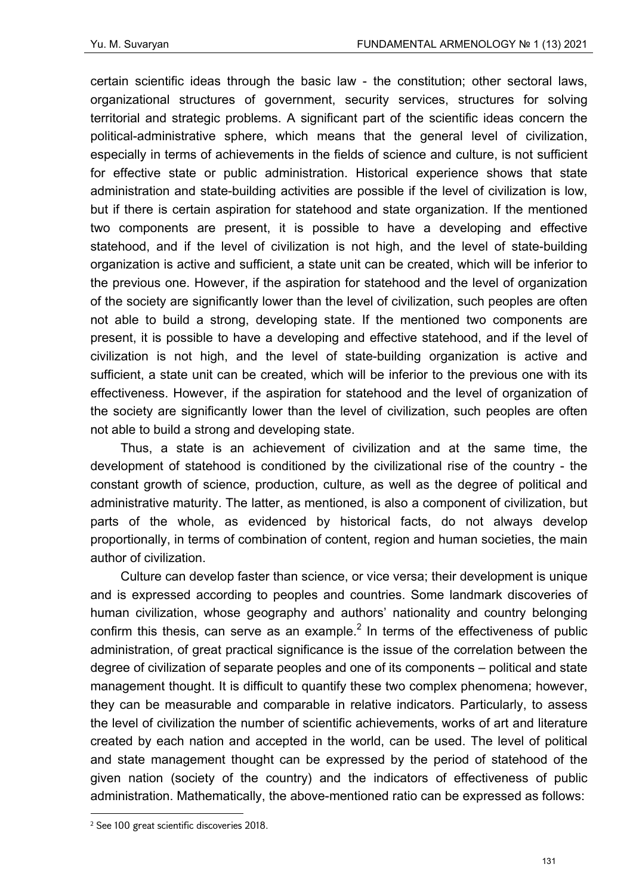certain scientific ideas through the basic law - the constitution; other sectoral laws, organizational structures of government, security services, structures for solving territorial and strategic problems. A significant part of the scientific ideas concern the political-administrative sphere, which means that the general level of civilization, especially in terms of achievements in the fields of science and culture, is not sufficient for effective state or public administration. Historical experience shows that state administration and state-building activities are possible if the level of civilization is low, but if there is certain aspiration for statehood and state organization. If the mentioned two components are present, it is possible to have a developing and effective statehood, and if the level of civilization is not high, and the level of state-building organization is active and sufficient, a state unit can be created, which will be inferior to the previous one. However, if the aspiration for statehood and the level of organization of the society are significantly lower than the level of civilization, such peoples are often not able to build a strong, developing state. If the mentioned two components are present, it is possible to have a developing and effective statehood, and if the level of civilization is not high, and the level of state-building organization is active and sufficient, a state unit can be created, which will be inferior to the previous one with its effectiveness. However, if the aspiration for statehood and the level of organization of the society are significantly lower than the level of civilization, such peoples are often not able to build a strong and developing state.

Thus, a state is an achievement of civilization and at the same time, the development of statehood is conditioned by the civilizational rise of the country - the constant growth of science, production, culture, as well as the degree of political and administrative maturity. The latter, as mentioned, is also a component of civilization, but parts of the whole, as evidenced by historical facts, do not always develop proportionally, in terms of combination of content, region and human societies, the main author of civilization.

Culture can develop faster than science, or vice versa; their development is unique and is expressed according to peoples and countries. Some landmark discoveries of human civilization, whose geography and authors' nationality and country belonging confirm this thesis, can serve as an example. $<sup>2</sup>$  In terms of the effectiveness of public</sup> administration, of great practical significance is the issue of the correlation between the degree of civilization of separate peoples and one of its components – political and state management thought. It is difficult to quantify these two complex phenomena; however, they can be measurable and comparable in relative indicators. Particularly, to assess the level of civilization the number of scientific achievements, works of art and literature created by each nation and accepted in the world, can be used. The level of political and state management thought can be expressed by the period of statehood of the given nation (society of the country) and the indicators of effectiveness of public administration. Mathematically, the above-mentioned ratio can be expressed as follows:

<sup>2</sup> See 100 great scientific discoveries 2018.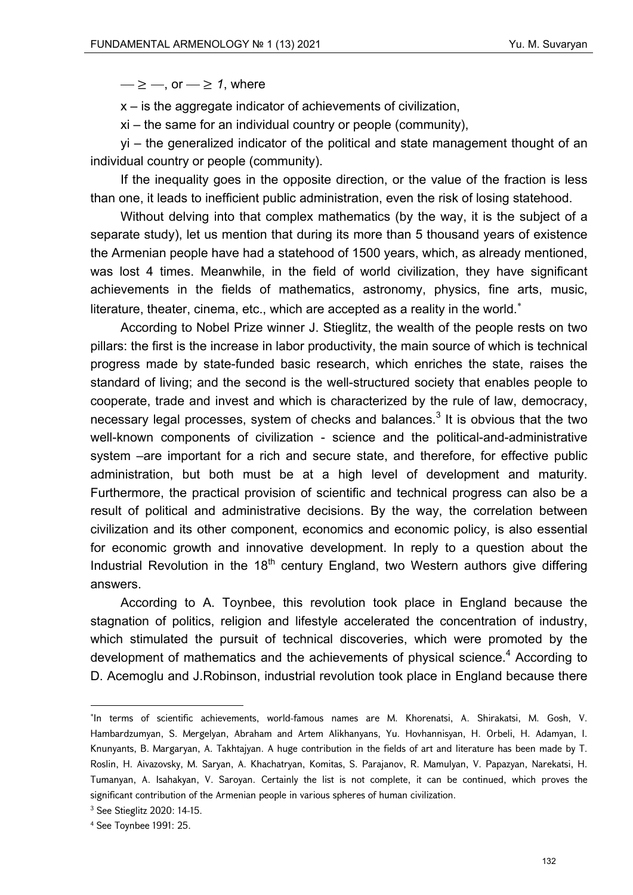$-\geq -$ , or  $\rightarrow$  2 1, where

x – is the aggregate indicator of achievements of civilization,

xi – the same for an individual country or people (community),

yi – the generalized indicator of the political and state management thought of an individual country or people (community).

If the inequality goes in the opposite direction, or the value of the fraction is less than one, it leads to inefficient public administration, even the risk of losing statehood.

Without delving into that complex mathematics (by the way, it is the subject of a separate study), let us mention that during its more than 5 thousand years of existence the Armenian people have had a statehood of 1500 years, which, as already mentioned, was lost 4 times. Meanwhile, in the field of world civilization, they have significant achievements in the fields of mathematics, astronomy, physics, fine arts, music, literature, theater, cinema, etc., which are accepted as a reality in the world.<sup>\*</sup>

According to Nobel Prize winner J. Stieglitz, the wealth of the people rests on two pillars: the first is the increase in labor productivity, the main source of which is technical progress made by state-funded basic research, which enriches the state, raises the standard of living; and the second is the well-structured society that enables people to cooperate, trade and invest and which is characterized by the rule of law, democracy, necessary legal processes, system of checks and balances. $^3$  It is obvious that the two well-known components of civilization - science and the political-and-administrative system –are important for a rich and secure state, and therefore, for effective public administration, but both must be at a high level of development and maturity. Furthermore, the practical provision of scientific and technical progress can also be a result of political and administrative decisions. By the way, the correlation between civilization and its other component, economics and economic policy, is also essential for economic growth and innovative development. In reply to a question about the Industrial Revolution in the  $18<sup>th</sup>$  century England, two Western authors give differing answers.

According to A. Toynbee, this revolution took place in England because the stagnation of politics, religion and lifestyle accelerated the concentration of industry, which stimulated the pursuit of technical discoveries, which were promoted by the development of mathematics and the achievements of physical science.<sup>4</sup> According to D. Acemoglu and J.Robinson, industrial revolution took place in England because there

<sup>\*</sup>In terms of scientific achievements, world-famous names are M. Khorenatsi, A. Shirakatsi, M. Gosh, V. Hambardzumyan, S. Mergelyan, Abraham and Artem Alikhanyans, Yu. Hovhannisyan, H. Orbeli, H. Adamyan, I. Knunyants, B. Margaryan, A. Takhtajyan. A huge contribution in the fields of art and literature has been made by T. Roslin, H. Aivazovsky, M. Saryan, A. Khachatryan, Komitas, S. Parajanov, R. Mamulyan, V. Papazyan, Narekatsi, H. Tumanyan, A. Isahakyan, V. Saroyan. Certainly the list is not complete, it can be continued, which proves the significant contribution of the Armenian people in various spheres of human civilization.

<sup>3</sup> See Stieglitz 2020: 14-15.

<sup>4</sup> See Toynbee 1991: 25.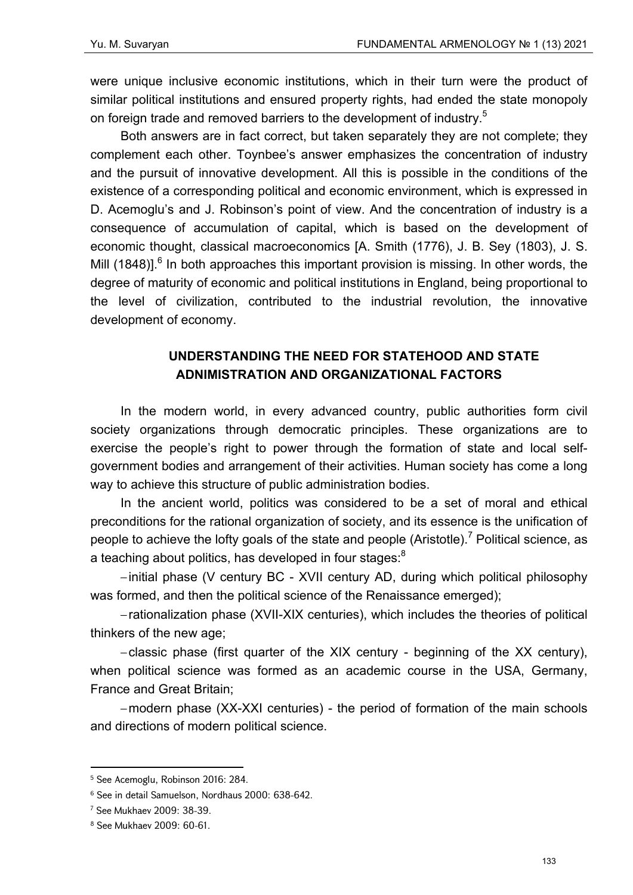were unique inclusive economic institutions, which in their turn were the product of similar political institutions and ensured property rights, had ended the state monopoly on foreign trade and removed barriers to the development of industry.<sup>5</sup>

Both answers are in fact correct, but taken separately they are not complete; they complement each other. Toynbee's answer emphasizes the concentration of industry and the pursuit of innovative development. All this is possible in the conditions of the existence of a corresponding political and economic environment, which is expressed in D. Acemoglu's and J. Robinson's point of view. And the concentration of industry is a consequence of accumulation of capital, which is based on the development of economic thought, classical macroeconomics [A. Smith (1776), J. B. Sey (1803), J. S. Mill (1848)]. $<sup>6</sup>$  In both approaches this important provision is missing. In other words, the</sup> degree of maturity of economic and political institutions in England, being proportional to the level of civilization, contributed to the industrial revolution, the innovative development of economy.

# **UNDERSTANDING THE NEED FOR STATEHOOD AND STATE ADNIMISTRATION AND ORGANIZATIONAL FACTORS**

In the modern world, in every advanced country, public authorities form civil society organizations through democratic principles. These organizations are to exercise the people's right to power through the formation of state and local selfgovernment bodies and arrangement of their activities. Human society has come a long way to achieve this structure of public administration bodies.

In the ancient world, politics was considered to be a set of moral and ethical preconditions for the rational organization of society, and its essence is the unification of people to achieve the lofty goals of the state and people (Aristotle).<sup>7</sup> Political science, as a teaching about politics, has developed in four stages:<sup>8</sup>

– initial phase (V century BC - XVII century AD, during which political philosophy was formed, and then the political science of the Renaissance emerged);

– rationalization phase (XVII-XIX centuries), which includes the theories of political thinkers of the new age;

– classic phase (first quarter of the XIX century - beginning of the XX century), when political science was formed as an academic course in the USA, Germany, France and Great Britain;

– modern phase (XX-XXI centuries) - the period of formation of the main schools and directions of modern political science.

 5 See Acemoglu, Robinson 2016: 284.

<sup>6</sup> See in detail Samuelson, Nordhaus 2000: 638-642.

<sup>7</sup> See Mukhaev 2009: 38-39.

<sup>8</sup> See Mukhaev 2009: 60-61.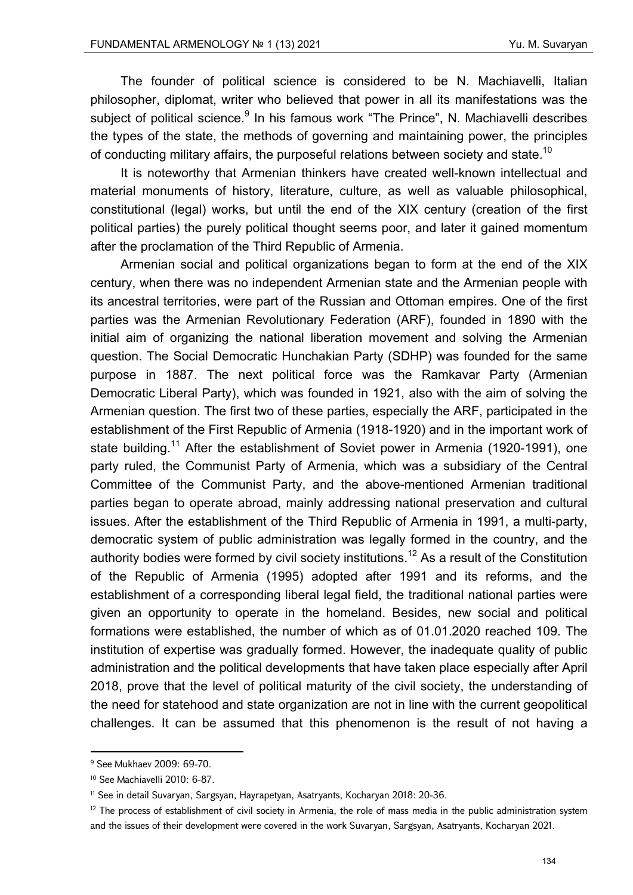The founder of political science is considered to be N. Machiavelli, Italian philosopher, diplomat, writer who believed that power in all its manifestations was the subject of political science.<sup>9</sup> In his famous work "The Prince", N. Machiavelli describes the types of the state, the methods of governing and maintaining power, the principles of conducting military affairs, the purposeful relations between society and state.<sup>10</sup>

It is noteworthy that Armenian thinkers have created well-known intellectual and material monuments of history, literature, culture, as well as valuable philosophical, constitutional (legal) works, but until the end of the XIX century (creation of the first political parties) the purely political thought seems poor, and later it gained momentum after the proclamation of the Third Republic of Armenia.

Armenian social and political organizations began to form at the end of the XIX century, when there was no independent Armenian state and the Armenian people with its ancestral territories, were part of the Russian and Ottoman empires. One of the first parties was the Armenian Revolutionary Federation (ARF), founded in 1890 with the initial aim of organizing the national liberation movement and solving the Armenian question. The Social Democratic Hunchakian Party (SDHP) was founded for the same purpose in 1887. The next political force was the Ramkavar Party (Armenian Democratic Liberal Party), which was founded in 1921, also with the aim of solving the Armenian question. The first two of these parties, especially the ARF, participated in the establishment of the First Republic of Armenia (1918-1920) and in the important work of state building.<sup>11</sup> After the establishment of Soviet power in Armenia (1920-1991), one party ruled, the Communist Party of Armenia, which was a subsidiary of the Central Committee of the Communist Party, and the above-mentioned Armenian traditional parties began to operate abroad, mainly addressing national preservation and cultural issues. After the establishment of the Third Republic of Armenia in 1991, a multi-party, democratic system of public administration was legally formed in the country, and the authority bodies were formed by civil society institutions.<sup>12</sup> As a result of the Constitution of the Republic of Armenia (1995) adopted after 1991 and its reforms, and the establishment of a corresponding liberal legal field, the traditional national parties were given an opportunity to operate in the homeland. Besides, new social and political formations were established, the number of which as of 01.01.2020 reached 109. The institution of expertise was gradually formed. However, the inadequate quality of public administration and the political developments that have taken place especially after April 2018, prove that the level of political maturity of the civil society, the understanding of the need for statehood and state organization are not in line with the current geopolitical challenges. It can be assumed that this phenomenon is the result of not having a

<sup>9</sup> See Mukhaev 2009: 69-70.

<sup>10</sup> See Machiavelli 2010: 6-87.

<sup>11</sup> See in detail Suvaryan, Sargsyan, Hayrapetyan, Asatryants, Kocharyan 2018: 20-36.

 $12$  The process of establishment of civil society in Armenia, the role of mass media in the public administration system and the issues of their development were covered in the work Suvaryan, Sargsyan, Asatryants, Kocharyan 2021.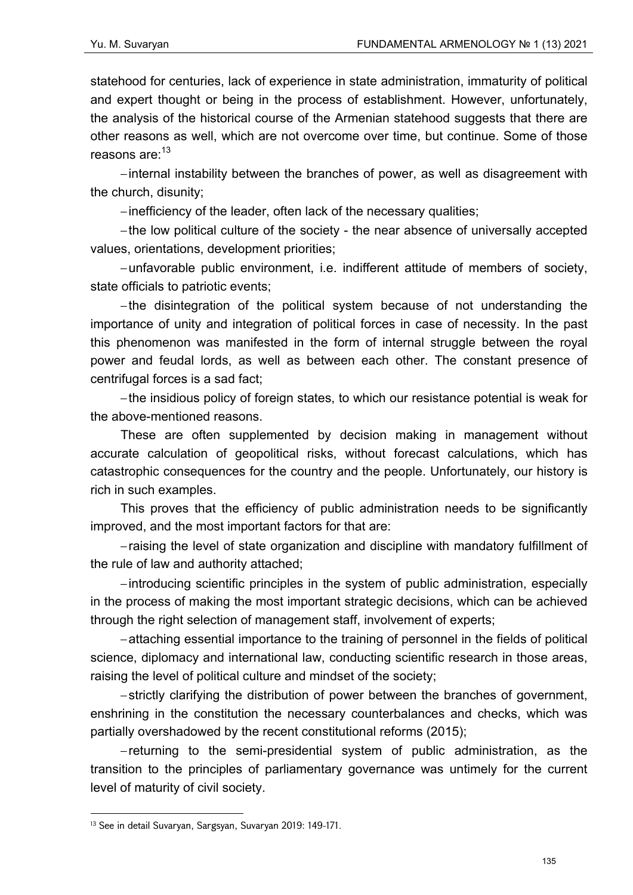statehood for centuries, lack of experience in state administration, immaturity of political and expert thought or being in the process of establishment. However, unfortunately, the analysis of the historical course of the Armenian statehood suggests that there are other reasons as well, which are not overcome over time, but continue. Some of those reasons are:<sup>13</sup>

– internal instability between the branches of power, as well as disagreement with the church, disunity;

– inefficiency of the leader, often lack of the necessary qualities;

– the low political culture of the society - the near absence of universally accepted values, orientations, development priorities;

– unfavorable public environment, i.e. indifferent attitude of members of society, state officials to patriotic events;

– the disintegration of the political system because of not understanding the importance of unity and integration of political forces in case of necessity. In the past this phenomenon was manifested in the form of internal struggle between the royal power and feudal lords, as well as between each other. The constant presence of centrifugal forces is a sad fact;

– the insidious policy of foreign states, to which our resistance potential is weak for the above-mentioned reasons.

These are often supplemented by decision making in management without accurate calculation of geopolitical risks, without forecast calculations, which has catastrophic consequences for the country and the people. Unfortunately, our history is rich in such examples.

This proves that the efficiency of public administration needs to be significantly improved, and the most important factors for that are:

– raising the level of state organization and discipline with mandatory fulfillment of the rule of law and authority attached;

– introducing scientific principles in the system of public administration, especially in the process of making the most important strategic decisions, which can be achieved through the right selection of management staff, involvement of experts;

– attaching essential importance to the training of personnel in the fields of political science, diplomacy and international law, conducting scientific research in those areas, raising the level of political culture and mindset of the society;

– strictly clarifying the distribution of power between the branches of government, enshrining in the constitution the necessary counterbalances and checks, which was partially overshadowed by the recent constitutional reforms (2015);

– returning to the semi-presidential system of public administration, as the transition to the principles of parliamentary governance was untimely for the current level of maturity of civil society.

<sup>&</sup>lt;sup>13</sup> See in detail Suvaryan, Sargsyan, Suvaryan 2019: 149-171.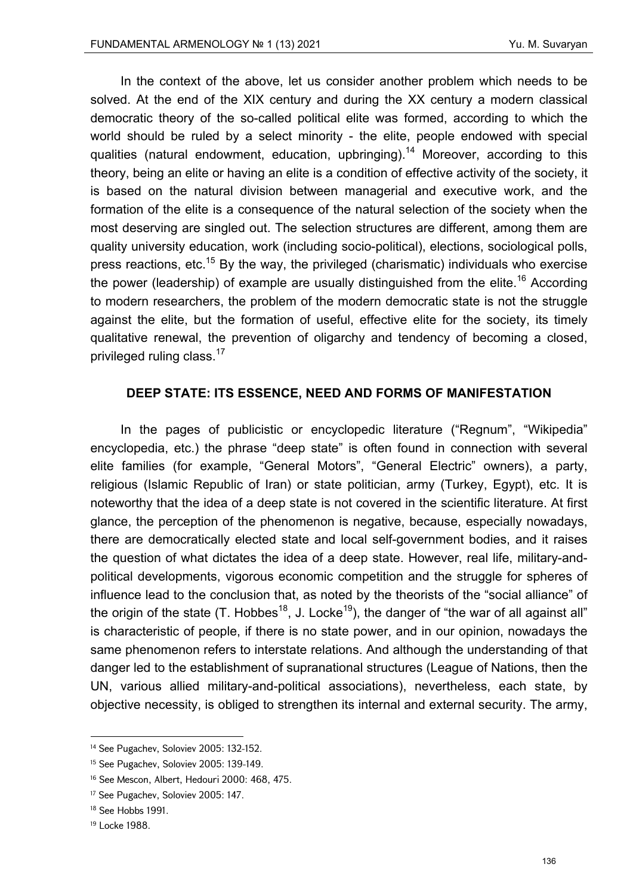In the context of the above, let us consider another problem which needs to be solved. At the end of the XIX century and during the XX century a modern classical democratic theory of the so-called political elite was formed, according to which the world should be ruled by a select minority - the elite, people endowed with special qualities (natural endowment, education, upbringing).<sup>14</sup> Moreover, according to this theory, being an elite or having an elite is a condition of effective activity of the society, it is based on the natural division between managerial and executive work, and the formation of the elite is a consequence of the natural selection of the society when the most deserving are singled out. The selection structures are different, among them are quality university education, work (including socio-political), elections, sociological polls, press reactions, etc.<sup>15</sup> By the way, the privileged (charismatic) individuals who exercise the power (leadership) of example are usually distinguished from the elite.<sup>16</sup> According to modern researchers, the problem of the modern democratic state is not the struggle against the elite, but the formation of useful, effective elite for the society, its timely qualitative renewal, the prevention of oligarchy and tendency of becoming a closed, privileged ruling class.<sup>17</sup>

#### **DEEP STATE: ITS ESSENCE, NEED AND FORMS OF MANIFESTATION**

In the pages of publicistic or encyclopedic literature ("Regnum", "Wikipedia" encyclopedia, etc.) the phrase "deep state" is often found in connection with several elite families (for example, "General Motors", "General Electric" owners), a party, religious (Islamic Republic of Iran) or state politician, army (Turkey, Egypt), etc. It is noteworthy that the idea of a deep state is not covered in the scientific literature. At first glance, the perception of the phenomenon is negative, because, especially nowadays, there are democratically elected state and local self-government bodies, and it raises the question of what dictates the idea of a deep state. However, real life, military-andpolitical developments, vigorous economic competition and the struggle for spheres of influence lead to the conclusion that, as noted by the theorists of the "social alliance" of the origin of the state (T. Hobbes<sup>18</sup>, J. Locke<sup>19</sup>), the danger of "the war of all against all" is characteristic of people, if there is no state power, and in our opinion, nowadays the same phenomenon refers to interstate relations. And although the understanding of that danger led to the establishment of supranational structures (League of Nations, then the UN, various allied military-and-political associations), nevertheless, each state, by objective necessity, is obliged to strengthen its internal and external security. The army,

<sup>&</sup>lt;sup>14</sup> See Pugachev, Soloviev 2005: 132-152.

<sup>15</sup> See Pugachev, Soloviev 2005: 139-149.

<sup>16</sup> See Mescon, Albert, Hedouri 2000: 468, 475.

<sup>&</sup>lt;sup>17</sup> See Pugachev, Soloviev 2005: 147.

<sup>&</sup>lt;sup>18</sup> See Hobbs 1991.

<sup>19</sup> Locke 1988.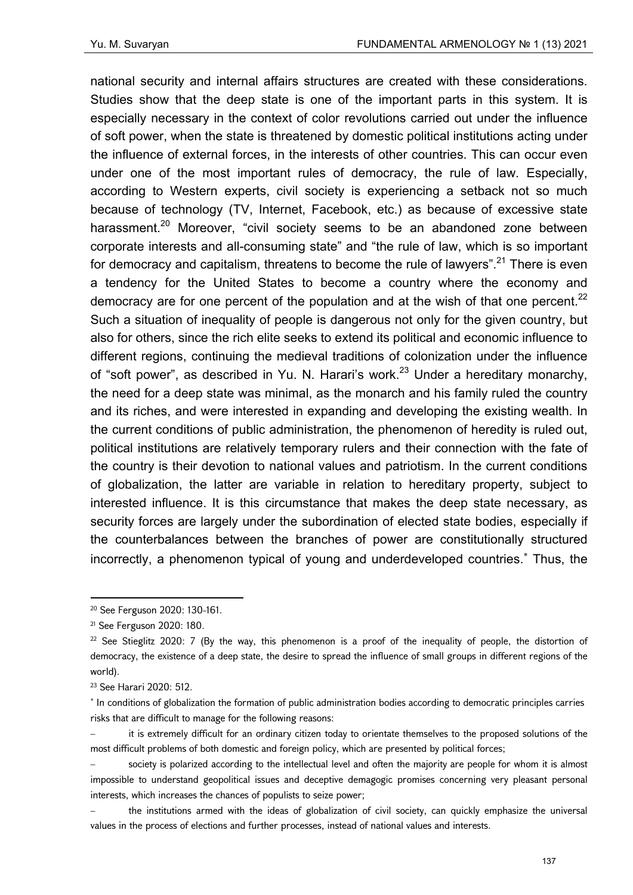national security and internal affairs structures are created with these considerations. Studies show that the deep state is one of the important parts in this system. It is especially necessary in the context of color revolutions carried out under the influence of soft power, when the state is threatened by domestic political institutions acting under the influence of external forces, in the interests of other countries. This can occur even under one of the most important rules of democracy, the rule of law. Especially, according to Western experts, civil society is experiencing a setback not so much because of technology (TV, Internet, Facebook, etc.) as because of excessive state harassment.<sup>20</sup> Moreover, "civil society seems to be an abandoned zone between corporate interests and all-consuming state" and "the rule of law, which is so important for democracy and capitalism, threatens to become the rule of lawyers".<sup>21</sup> There is even a tendency for the United States to become a country where the economy and democracy are for one percent of the population and at the wish of that one percent. $^{22}$ Such a situation of inequality of people is dangerous not only for the given country, but also for others, since the rich elite seeks to extend its political and economic influence to different regions, continuing the medieval traditions of colonization under the influence of "soft power", as described in Yu. N. Harari's work.<sup>23</sup> Under a hereditary monarchy, the need for a deep state was minimal, as the monarch and his family ruled the country and its riches, and were interested in expanding and developing the existing wealth. In the current conditions of public administration, the phenomenon of heredity is ruled out, political institutions are relatively temporary rulers and their connection with the fate of the country is their devotion to national values and patriotism. In the current conditions of globalization, the latter are variable in relation to hereditary property, subject to interested influence. It is this circumstance that makes the deep state necessary, as security forces are largely under the subordination of elected state bodies, especially if the counterbalances between the branches of power are constitutionally structured incorrectly, a phenomenon typical of young and underdeveloped countries. Thus, the

<sup>20</sup> See Ferguson 2020: 130-161.

<sup>21</sup> See Ferguson 2020: 180.

<sup>&</sup>lt;sup>22</sup> See Stieglitz 2020: 7 (By the way, this phenomenon is a proof of the inequality of people, the distortion of democracy, the existence of a deep state, the desire to spread the influence of small groups in different regions of the world).

<sup>23</sup> See Harari 2020: 512.

<sup>\*</sup> In conditions of globalization the formation of public administration bodies according to democratic principles carries risks that are difficult to manage for the following reasons:

<sup>–</sup> it is extremely difficult for an ordinary citizen today to orientate themselves to the proposed solutions of the most difficult problems of both domestic and foreign policy, which are presented by political forces;

society is polarized according to the intellectual level and often the majority are people for whom it is almost impossible to understand geopolitical issues and deceptive demagogic promises concerning very pleasant personal interests, which increases the chances of populists to seize power;

<sup>–</sup> the institutions armed with the ideas of globalization of civil society, can quickly emphasize the universal values in the process of elections and further processes, instead of national values and interests.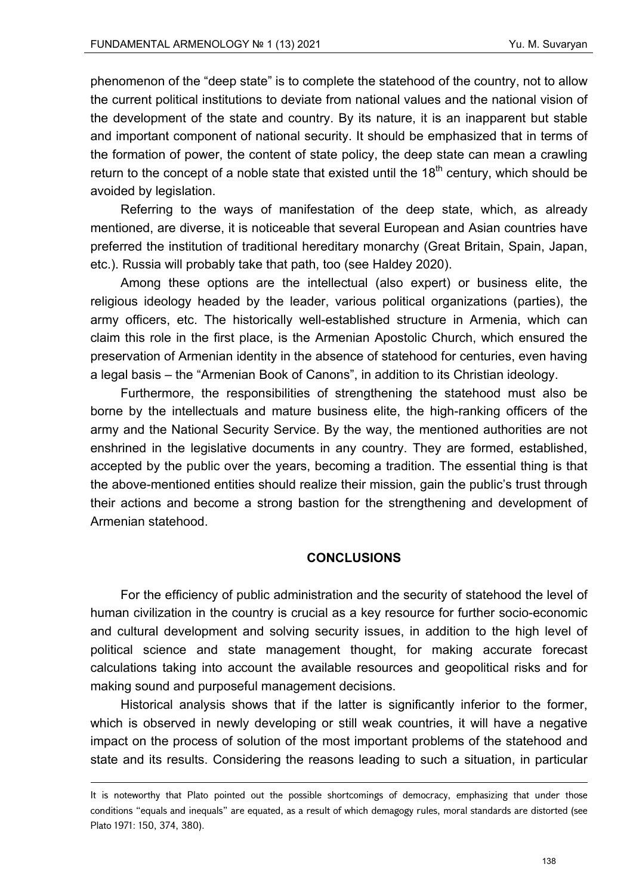phenomenon of the "deep state" is to complete the statehood of the country, not to allow the current political institutions to deviate from national values and the national vision of the development of the state and country. By its nature, it is an inapparent but stable and important component of national security. It should be emphasized that in terms of the formation of power, the content of state policy, the deep state can mean a crawling return to the concept of a noble state that existed until the  $18<sup>th</sup>$  century, which should be avoided by legislation.

Referring to the ways of manifestation of the deep state, which, as already mentioned, are diverse, it is noticeable that several European and Asian countries have preferred the institution of traditional hereditary monarchy (Great Britain, Spain, Japan, etc.). Russia will probably take that path, too (see Haldey 2020).

Among these options are the intellectual (also expert) or business elite, the religious ideology headed by the leader, various political organizations (parties), the army officers, etc. The historically well-established structure in Armenia, which can claim this role in the first place, is the Armenian Apostolic Church, which ensured the preservation of Armenian identity in the absence of statehood for centuries, even having a legal basis – the "Armenian Book of Canons", in addition to its Christian ideology.

Furthermore, the responsibilities of strengthening the statehood must also be borne by the intellectuals and mature business elite, the high-ranking officers of the army and the National Security Service. By the way, the mentioned authorities are not enshrined in the legislative documents in any country. They are formed, established, accepted by the public over the years, becoming a tradition. The essential thing is that the above-mentioned entities should realize their mission, gain the public's trust through their actions and become a strong bastion for the strengthening and development of Armenian statehood.

#### **CONCLUSIONS**

For the efficiency of public administration and the security of statehood the level of human civilization in the country is crucial as a key resource for further socio-economic and cultural development and solving security issues, in addition to the high level of political science and state management thought, for making accurate forecast calculations taking into account the available resources and geopolitical risks and for making sound and purposeful management decisions.

Historical analysis shows that if the latter is significantly inferior to the former, which is observed in newly developing or still weak countries, it will have a negative impact on the process of solution of the most important problems of the statehood and state and its results. Considering the reasons leading to such a situation, in particular

<u> Andrewski politika (za obrazu pod predsjednika u predsjednika u predsjednika u predsjednika (za obrazu pod p</u>

It is noteworthy that Plato pointed out the possible shortcomings of democracy, emphasizing that under those conditions "equals and inequals" are equated, as a result of which demagogy rules, moral standards are distorted (see Plato 1971: 150, 374, 380).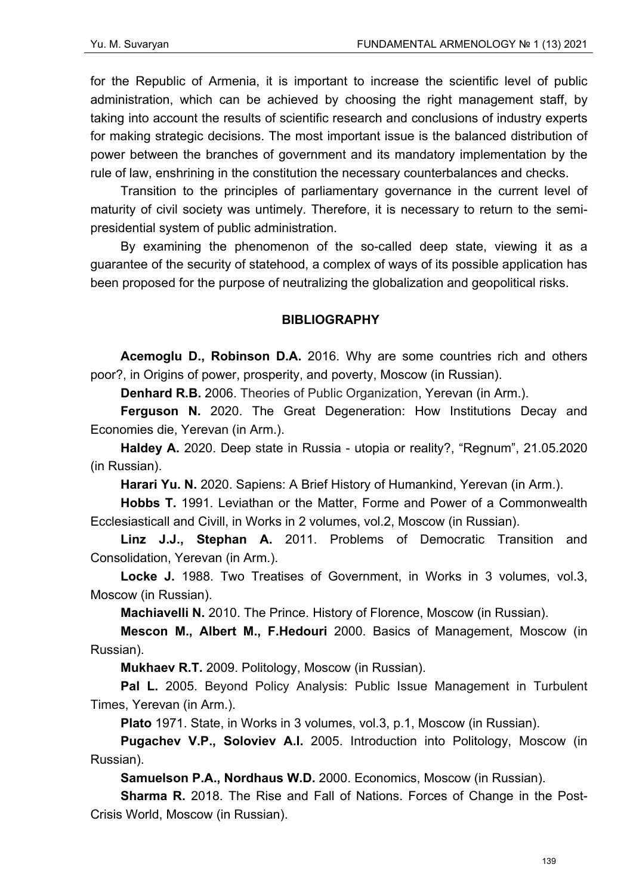for the Republic of Armenia, it is important to increase the scientific level of public administration, which can be achieved by choosing the right management staff, by taking into account the results of scientific research and conclusions of industry experts for making strategic decisions. The most important issue is the balanced distribution of power between the branches of government and its mandatory implementation by the rule of law, enshrining in the constitution the necessary counterbalances and checks.

Transition to the principles of parliamentary governance in the current level of maturity of civil society was untimely. Therefore, it is necessary to return to the semipresidential system of public administration.

By examining the phenomenon of the so-called deep state, viewing it as a guarantee of the security of statehood, a complex of ways of its possible application has been proposed for the purpose of neutralizing the globalization and geopolitical risks.

### **BIBLIOGRAPHY**

**Acemoglu D., Robinson D.A.** 2016. Why are some countries rich and others poor?, in Origins of power, prosperity, and poverty, Moscow (in Russian).

**Denhard R.B.** 2006. Theories of Public Organization, Yerevan (in Arm.).

**Ferguson N.** 2020. The Great Degeneration: How Institutions Decay and Economies die, Yerevan (in Arm.).

**Haldey А.** 2020. Deep state in Russia - utopia or reality?, "Regnum", 21.05.2020 (in Russian).

**Harari Yu. N.** 2020. Sapiens։ A Brief History of Humankind, Yerevan (in Arm.).

**Hobbs T.** 1991. Leviathan or the Matter, Forme and Power of a Commonwealth Ecclesiasticall and Civill, in Works in 2 volumes, vol.2, Moscow (in Russian).

**Linz J.J., Stephan A.** 2011. Problems of Democratic Transition and Consolidation, Yerevan (in Arm.).

**Locke J.** 1988. Two Treatises of Government, in Works in 3 volumes, vol.3, Moscow (in Russian).

**Machiavelli N.** 2010. The Prince. History of Florence, Moscow (in Russian).

**Mescon M., Albert M., F.Hedouri** 2000. Basics of Management, Moscow (in Russian).

**Mukhaev R.T.** 2009. Politology, Moscow (in Russian).

**Pal L.** 2005. Beyond Policy Analysis: Public Issue Management in Turbulent Times, Yerevan (in Arm.).

**Plato** 1971. State, in Works in 3 volumes, vol.3, p.1, Moscow (in Russian).

**Pugachev V.P., Soloviev A.I.** 2005. Introduction into Politology, Moscow (in Russian).

**Samuelson P.A., Nordhaus W.D.** 2000. Economics, Moscow (in Russian).

**Sharma R.** 2018. The Rise and Fall of Nations. Forces of Change in the Post-Crisis World, Moscow (in Russian).